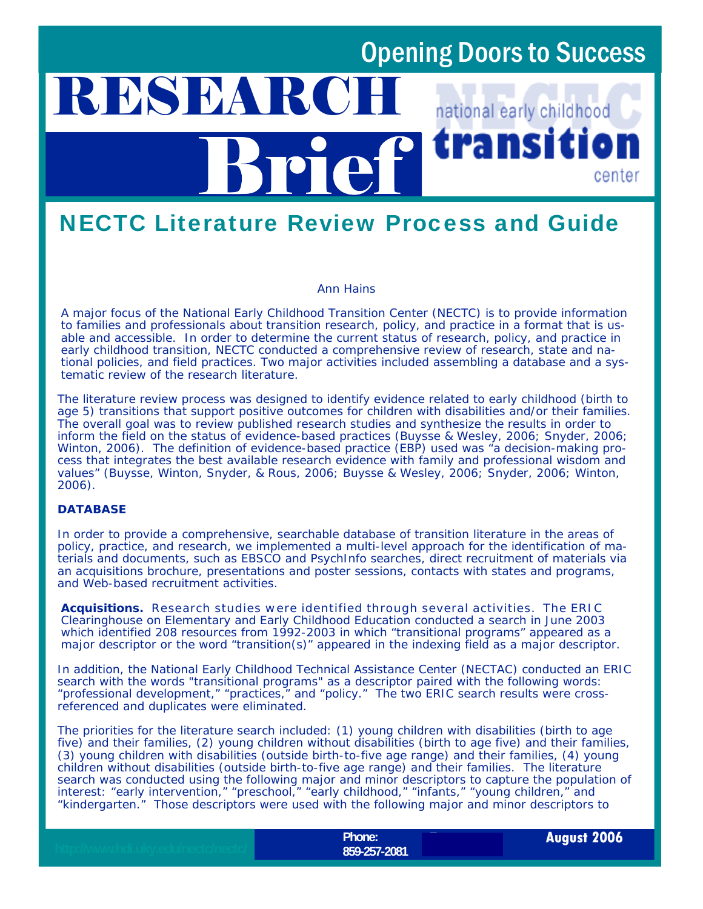## Opening Doors to Success

### **RESEARC** national early childhood transit Brief center

### NECTC Literature Review Process and Guide

#### *Ann Hains*

A major focus of the National Early Childhood Transition Center (NECTC) is to provide information to families and professionals about transition research, policy, and practice in a format that is usable and accessible. In order to determine the current status of research, policy, and practice in early childhood transition, NECTC conducted a comprehensive review of research, state and national policies, and field practices. Two major activities included assembling a database and a systematic review of the research literature.

The literature review process was designed to identify evidence related to early childhood (birth to age 5) transitions that support positive outcomes for children with disabilities and/or their families. The overall goal was to review published research studies and synthesize the results in order to inform the field on the status of evidence-based practices (Buysse & Wesley, 2006; Snyder, 2006; Winton, 2006). The definition of evidence-based practice (EBP) used was "a decision-making process that integrates the best available research evidence with family and professional wisdom and values" (Buysse, Winton, Snyder, & Rous, 2006; Buysse & Wesley, 2006; Snyder, 2006; Winton, 2006).

### **DATABASE**

In order to provide a comprehensive, searchable database of transition literature in the areas of policy, practice, and research, we implemented a multi-level approach for the identification of materials and documents, such as EBSCO and PsychInfo searches, direct recruitment of materials via an acquisitions brochure, presentations and poster sessions, contacts with states and programs, and Web-based recruitment activities.

Acquisitions. Research studies were identified through several activities. The ERIC Clearinghouse on Elementary and Early Childhood Education conducted a search in June 2003 which identified 208 resources from 1992-2003 in which "transitional programs" appeared as a major descriptor or the word "transition(s)" appeared in the indexing field as a major descriptor.

In addition, the National Early Childhood Technical Assistance Center (NECTAC) conducted an ERIC search with the words "transitional programs" as a descriptor paired with the following words: "professional development," "practices," and "policy." The two ERIC search results were crossreferenced and duplicates were eliminated.

The priorities for the literature search included: (1) young children with disabilities (birth to age five) and their families, (2) young children without disabilities (birth to age five) and their families, (3) young children with disabilities (outside birth-to-five age range) and their families, (4) young children without disabilities (outside birth-to-five age range) and their families. The literature search was conducted using the following major and minor descriptors to capture the population of interest: "early intervention," "preschool," "early childhood," "infants," "young children," and "kindergarten." Those descriptors were used with the following major and minor descriptors to

**Fax:**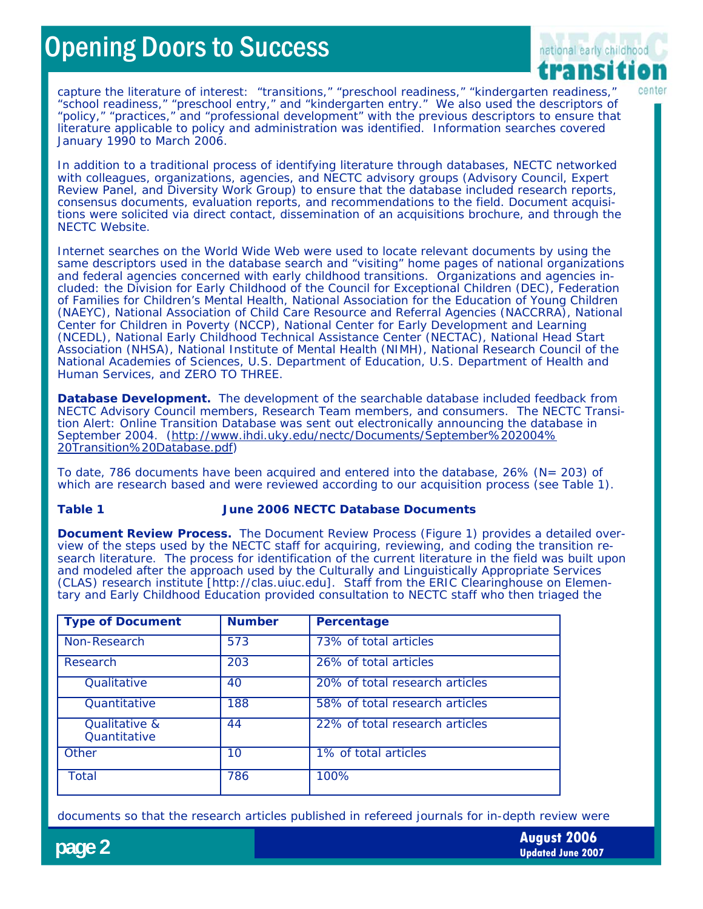# **Opening Doors to Success**



capture the literature of interest: "transitions," "preschool readiness," "kindergarten readiness," "school readiness," "preschool entry," and "kindergarten entry." We also used the descriptors of "policy," "practices," and "professional development" with the previous descriptors to ensure that literature applicable to policy and administration was identified. Information searches covered January 1990 to March 2006.

In addition to a traditional process of identifying literature through databases, NECTC networked with colleagues, organizations, agencies, and NECTC advisory groups (Advisory Council, Expert Review Panel, and Diversity Work Group) to ensure that the database included research reports, consensus documents, evaluation reports, and recommendations to the field. Document acquisitions were solicited via direct contact, dissemination of an acquisitions brochure, and through the NECTC Website.

Internet searches on the World Wide Web were used to locate relevant documents by using the same descriptors used in the database search and "visiting" home pages of national organizations and federal agencies concerned with early childhood transitions. Organizations and agencies included: the Division for Early Childhood of the Council for Exceptional Children (DEC), Federation of Families for Children's Mental Health, National Association for the Education of Young Children (NAEYC), National Association of Child Care Resource and Referral Agencies (NACCRRA), National Center for Children in Poverty (NCCP), National Center for Early Development and Learning (NCEDL), National Early Childhood Technical Assistance Center (NECTAC), National Head Start Association (NHSA), National Institute of Mental Health (NIMH), National Research Council of the National Academies of Sciences, U.S. Department of Education, U.S. Department of Health and Human Services, and ZERO TO THREE.

**Database Development.** The development of the searchable database included feedback from NECTC Advisory Council members, Research Team members, and consumers. The NECTC Transition Alert: *Online Transition Database* was sent out electronically announcing the database in September 2004. (http://www.ihdi.uky.edu/nectc/Documents/September%202004% 20Transition%20Database.pdf)

To date, 786 documents have been acquired and entered into the database, 26% (N= 203) of which are research based and were reviewed according to our acquisition process (see Table 1).

### **Table 1 June 2006 NECTC Database Documents**

**Document Review Process.** The Document Review Process (Figure 1) provides a detailed overview of the steps used by the NECTC staff for acquiring, reviewing, and coding the transition research literature. The process for identification of the current literature in the field was built upon and modeled after the approach used by the Culturally and Linguistically Appropriate Services (CLAS) research institute [http://clas.uiuc.edu]. Staff from the ERIC Clearinghouse on Elementary and Early Childhood Education provided consultation to NECTC staff who then triaged the

| <b>Type of Document</b>           | <b>Number</b> | Percentage                     |
|-----------------------------------|---------------|--------------------------------|
| Non-Research                      | 573           | 73% of total articles          |
| Research                          | 203           | 26% of total articles          |
| <i><b>Oualitative</b></i>         | 40            | 20% of total research articles |
| <i><u><b>Ouantitative</b></u></i> | 188           | 58% of total research articles |
| Qualitative &<br>Quantitative     | 44            | 22% of total research articles |
| Other                             | 10            | 1% of total articles           |
| Total                             | 786           | 100%                           |

documents so that the research articles published in refereed journals for in-depth review were

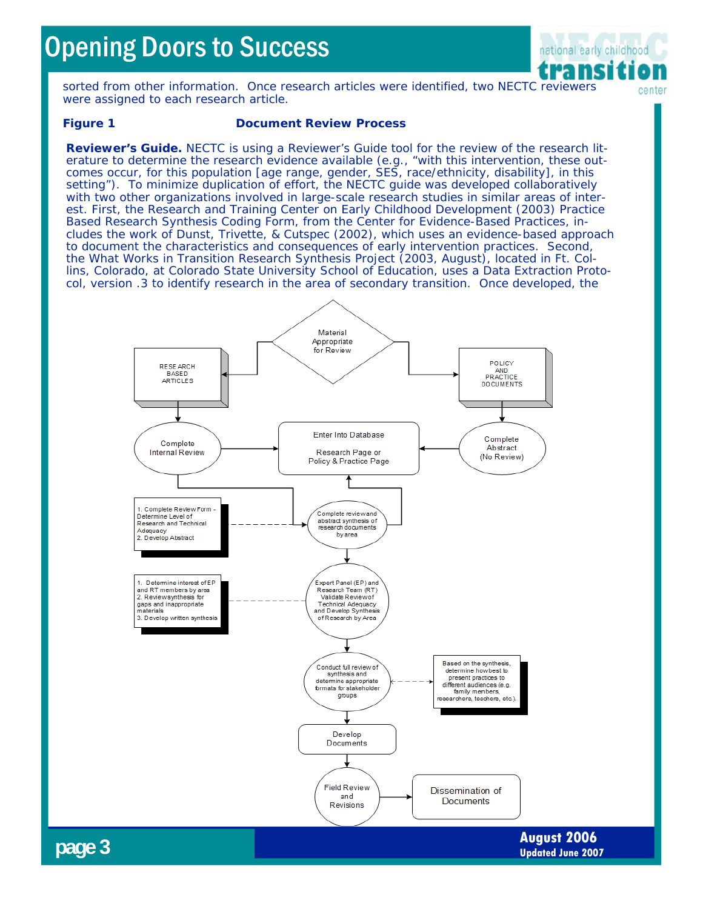# Opening Doors to Success



sorted from other information. Once research articles were identified, two NECTC reviewers center were assigned to each research article.

### **Figure 1 Document Review Process**

*Reviewer's Guide.* NECTC is using a Reviewer's Guide tool for the review of the research literature to determine the research evidence available (e.g., "with this intervention, these outcomes occur, for this population [age range, gender, SES, race/ethnicity, disability], in this setting"). To minimize duplication of effort, the NECTC guide was developed collaboratively with two other organizations involved in large-scale research studies in similar areas of interest. First, the Research and Training Center on Early Childhood Development (2003) *Practice Based Research Synthesis Coding Form,* from the Center for Evidence-Based Practices, includes the work of Dunst, Trivette, & Cutspec (2002), which uses an evidence-based approach to document the characteristics and consequences of early intervention practices. Second, the What Works in Transition Research Synthesis Project (2003, August), located in Ft. Collins, Colorado, at Colorado State University School of Education, uses a *Data Extraction Protocol, version .3* to identify research in the area of secondary transition. Once developed, the